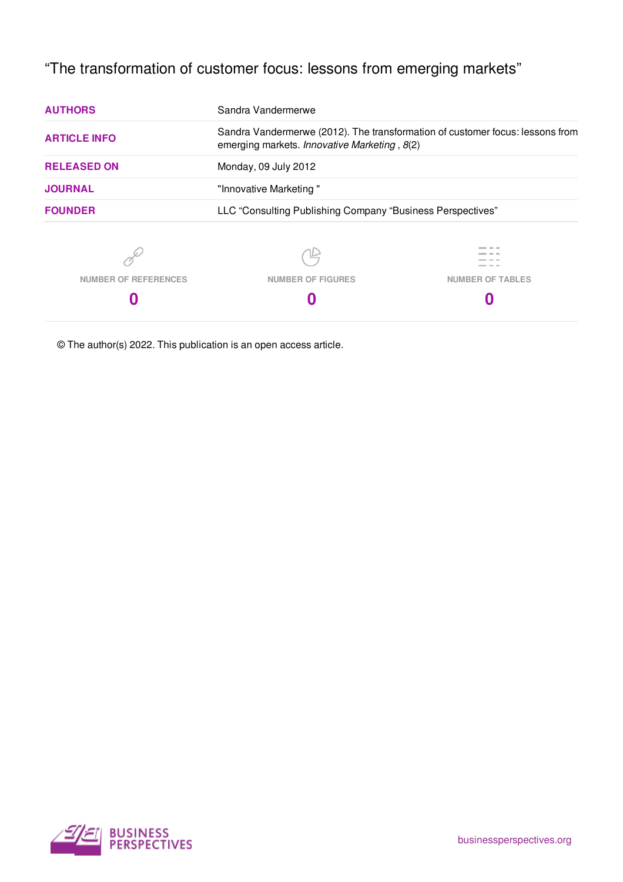# "The transformation of customer focus: lessons from emerging markets"

| <b>AUTHORS</b>              | Sandra Vandermerwe                                                                                                            |                         |  |
|-----------------------------|-------------------------------------------------------------------------------------------------------------------------------|-------------------------|--|
| <b>ARTICLE INFO</b>         | Sandra Vandermerwe (2012). The transformation of customer focus: lessons from<br>emerging markets. Innovative Marketing, 8(2) |                         |  |
| <b>RELEASED ON</b>          | Monday, 09 July 2012                                                                                                          |                         |  |
| <b>JOURNAL</b>              | "Innovative Marketing"                                                                                                        |                         |  |
| <b>FOUNDER</b>              | LLC "Consulting Publishing Company "Business Perspectives"                                                                    |                         |  |
|                             |                                                                                                                               |                         |  |
| <b>NUMBER OF REFERENCES</b> | <b>NUMBER OF FIGURES</b>                                                                                                      | <b>NUMBER OF TABLES</b> |  |
| O                           |                                                                                                                               |                         |  |

© The author(s) 2022. This publication is an open access article.

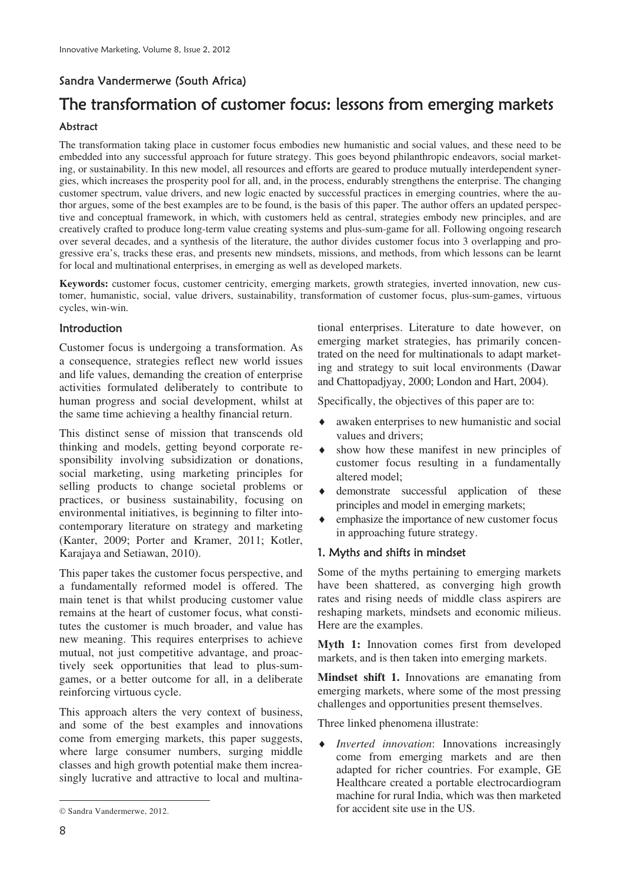### Sandra Vandermerwe (South Africa)

## The transformation of customer focus: lessons from emerging markets Abstract

The transformation taking place in customer focus embodies new humanistic and social values, and these need to be embedded into any successful approach for future strategy. This goes beyond philanthropic endeavors, social marketing, or sustainability. In this new model, all resources and efforts are geared to produce mutually interdependent synergies, which increases the prosperity pool for all, and, in the process, endurably strengthens the enterprise. The changing customer spectrum, value drivers, and new logic enacted by successful practices in emerging countries, where the author argues, some of the best examples are to be found, is the basis of this paper. The author offers an updated perspective and conceptual framework, in which, with customers held as central, strategies embody new principles, and are creatively crafted to produce long-term value creating systems and plus-sum-game for all. Following ongoing research over several decades, and a synthesis of the literature, the author divides customer focus into 3 overlapping and progressive era's, tracks these eras, and presents new mindsets, missions, and methods, from which lessons can be learnt for local and multinational enterprises, in emerging as well as developed markets.

**Keywords:** customer focus, customer centricity, emerging markets, growth strategies, inverted innovation, new customer, humanistic, social, value drivers, sustainability, transformation of customer focus, plus-sum-games, virtuous cycles, win-win.

#### Introduction

Customer focus is undergoing a transformation. As a consequence, strategies reflect new world issues and life values, demanding the creation of enterprise activities formulated deliberately to contribute to human progress and social development, whilst at the same time achieving a healthy financial return.

This distinct sense of mission that transcends old thinking and models, getting beyond corporate responsibility involving subsidization or donations, social marketing, using marketing principles for selling products to change societal problems or practices, or business sustainability, focusing on environmental initiatives, is beginning to filter intocontemporary literature on strategy and marketing (Kanter, 2009; Porter and Kramer, 2011; Kotler, Karajaya and Setiawan, 2010).

This paper takes the customer focus perspective, and a fundamentally reformed model is offered. The main tenet is that whilst producing customer value remains at the heart of customer focus, what constitutes the customer is much broader, and value has new meaning. This requires enterprises to achieve mutual, not just competitive advantage, and proactively seek opportunities that lead to plus-sumgames, or a better outcome for all, in a deliberate reinforcing virtuous cycle.

This approach alters the very context of business, and some of the best examples and innovations come from emerging markets, this paper suggests, where large consumer numbers, surging middle classes and high growth potential make them increasingly lucrative and attractive to local and multinational enterprises. Literature to date however, on emerging market strategies, has primarily concentrated on the need for multinationals to adapt marketing and strategy to suit local environments (Dawar and Chattopadjyay, 2000; London and Hart, 2004).

Specifically, the objectives of this paper are to:

- awaken enterprises to new humanistic and social values and drivers
- show how these manifest in new principles of customer focus resulting in a fundamentally altered model
- demonstrate successful application of these principles and model in emerging markets
- emphasize the importance of new customer focus in approaching future strategy.

#### 1. Myths and shifts in mindset

Some of the myths pertaining to emerging markets have been shattered, as converging high growth rates and rising needs of middle class aspirers are reshaping markets, mindsets and economic milieus. Here are the examples.

**Myth 1:** Innovation comes first from developed markets, and is then taken into emerging markets.

**Mindset shift 1.** Innovations are emanating from emerging markets, where some of the most pressing challenges and opportunities present themselves.

Three linked phenomena illustrate:

*Inverted innovation*: Innovations increasingly come from emerging markets and are then adapted for richer countries. For example, GE Healthcare created a portable electrocardiogram machine for rural India, which was then marketed for accident site use in the US.

 $\overline{a}$ 

<sup>©</sup> Sandra Vandermerwe, 2012.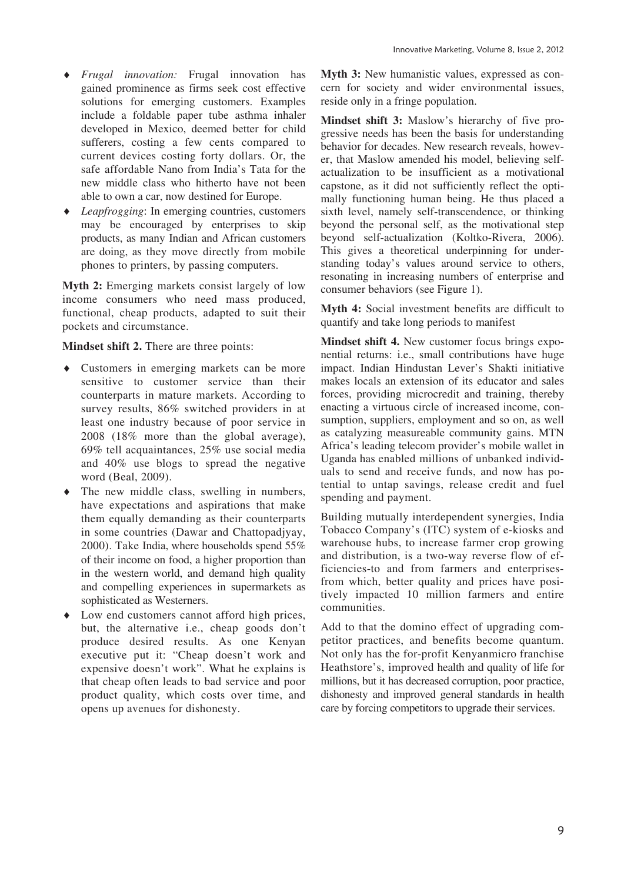- i *Frugal innovation:* Frugal innovation has gained prominence as firms seek cost effective solutions for emerging customers. Examples include a foldable paper tube asthma inhaler developed in Mexico, deemed better for child sufferers, costing a few cents compared to current devices costing forty dollars. Or, the safe affordable Nano from India's Tata for the new middle class who hitherto have not been able to own a car, now destined for Europe.
- *Leapfrogging*: In emerging countries, customers may be encouraged by enterprises to skip products, as many Indian and African customers are doing, as they move directly from mobile phones to printers, by passing computers.

**Myth 2:** Emerging markets consist largely of low income consumers who need mass produced, functional, cheap products, adapted to suit their pockets and circumstance.

**Mindset shift 2.** There are three points:

- $\bullet$  Customers in emerging markets can be more sensitive to customer service than their counterparts in mature markets. According to survey results, 86% switched providers in at least one industry because of poor service in 2008 (18% more than the global average), 69% tell acquaintances, 25% use social media and 40% use blogs to spread the negative word (Beal, 2009).
- The new middle class, swelling in numbers, have expectations and aspirations that make them equally demanding as their counterparts in some countries (Dawar and Chattopadjyay, 2000). Take India, where households spend 55% of their income on food, a higher proportion than in the western world, and demand high quality and compelling experiences in supermarkets as sophisticated as Westerners.
- $\bullet$  Low end customers cannot afford high prices, but, the alternative i.e., cheap goods don't produce desired results. As one Kenyan executive put it: "Cheap doesn't work and expensive doesn't work". What he explains is that cheap often leads to bad service and poor product quality, which costs over time, and opens up avenues for dishonesty.

**Myth 3:** New humanistic values, expressed as concern for society and wider environmental issues, reside only in a fringe population.

**Mindset shift 3:** Maslow's hierarchy of five progressive needs has been the basis for understanding behavior for decades. New research reveals, however, that Maslow amended his model, believing selfactualization to be insufficient as a motivational capstone, as it did not sufficiently reflect the optimally functioning human being. He thus placed a sixth level, namely self-transcendence, or thinking beyond the personal self, as the motivational step beyond self-actualization (Koltko-Rivera, 2006). This gives a theoretical underpinning for understanding today's values around service to others, resonating in increasing numbers of enterprise and consumer behaviors (see Figure 1).

**Myth 4:** Social investment benefits are difficult to quantify and take long periods to manifest

**Mindset shift 4.** New customer focus brings exponential returns: i.e., small contributions have huge impact. Indian Hindustan Lever's Shakti initiative makes locals an extension of its educator and sales forces, providing microcredit and training, thereby enacting a virtuous circle of increased income, consumption, suppliers, employment and so on, as well as catalyzing measureable community gains. MTN Africa's leading telecom provider's mobile wallet in Uganda has enabled millions of unbanked individuals to send and receive funds, and now has potential to untap savings, release credit and fuel spending and payment.

Building mutually interdependent synergies, India Tobacco Company's (ITC) system of e-kiosks and warehouse hubs, to increase farmer crop growing and distribution, is a two-way reverse flow of efficiencies-to and from farmers and enterprisesfrom which, better quality and prices have positively impacted 10 million farmers and entire communities.

Add to that the domino effect of upgrading competitor practices, and benefits become quantum. Not only has the for-profit Kenyanmicro franchise Heathstore's, improved health and quality of life for millions, but it has decreased corruption, poor practice, dishonesty and improved general standards in health care by forcing competitors to upgrade their services.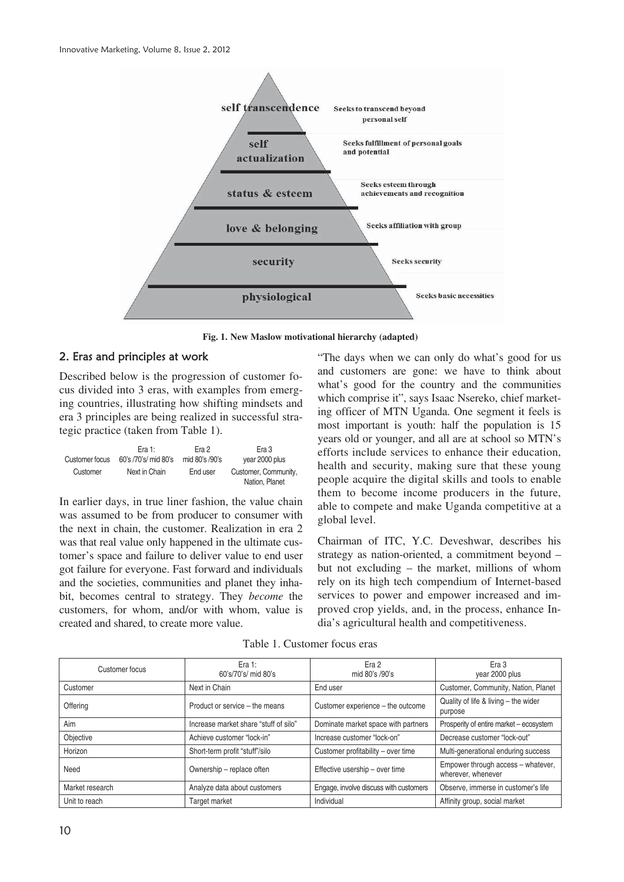

**Fig. 1. New Maslow motivational hierarchy (adapted)** 

#### 2. Eras and principles at work

Described below is the progression of customer focus divided into 3 eras, with examples from emerging countries, illustrating how shifting mindsets and era 3 principles are being realized in successful strategic practice (taken from Table 1).

| Customer focus | Fra 1:               | Era 2          | Era 3                                  |
|----------------|----------------------|----------------|----------------------------------------|
|                | 60's /70's/ mid 80's | mid 80's /90's | year 2000 plus                         |
| Customer       | Next in Chain        | End user       | Customer, Community,<br>Nation, Planet |

In earlier days, in true liner fashion, the value chain was assumed to be from producer to consumer with the next in chain, the customer. Realization in era 2 was that real value only happened in the ultimate customer's space and failure to deliver value to end user got failure for everyone. Fast forward and individuals and the societies, communities and planet they inhabit, becomes central to strategy. They *become* the customers, for whom, and/or with whom, value is created and shared, to create more value.

"The days when we can only do what's good for us and customers are gone: we have to think about what's good for the country and the communities which comprise it", says Isaac Nsereko, chief marketing officer of MTN Uganda. One segment it feels is most important is youth: half the population is 15 years old or younger, and all are at school so MTN's efforts include services to enhance their education, health and security, making sure that these young people acquire the digital skills and tools to enable them to become income producers in the future, able to compete and make Uganda competitive at a global level.

Chairman of ITC, Y.C. Deveshwar, describes his strategy as nation-oriented, a commitment beyond – but not excluding – the market, millions of whom rely on its high tech compendium of Internet-based services to power and empower increased and improved crop yields, and, in the process, enhance India's agricultural health and competitiveness.

| Customer focus  | Era 1:<br>60's/70's/ mid 80's         | Era 2<br>mid 80's /90's                | Era 3<br>year 2000 plus                                  |
|-----------------|---------------------------------------|----------------------------------------|----------------------------------------------------------|
| Customer        | Next in Chain                         | End user                               | Customer, Community, Nation, Planet                      |
| Offering        | Product or service – the means        | Customer experience - the outcome      | Quality of life & living - the wider<br>purpose          |
| Aim             | Increase market share "stuff of silo" | Dominate market space with partners    | Prosperity of entire market - ecosystem                  |
| Objective       | Achieve customer "lock-in"            | Increase customer "lock-on"            | Decrease customer "lock-out"                             |
| Horizon         | Short-term profit "stuff"/silo        | Customer profitability - over time     | Multi-generational enduring success                      |
| Need            | Ownership - replace often             | Effective usership - over time         | Empower through access - whatever,<br>wherever, whenever |
| Market research | Analyze data about customers          | Engage, involve discuss with customers | Observe, immerse in customer's life                      |
| Unit to reach   | Target market                         | Individual                             | Affinity group, social market                            |

Table 1. Customer focus eras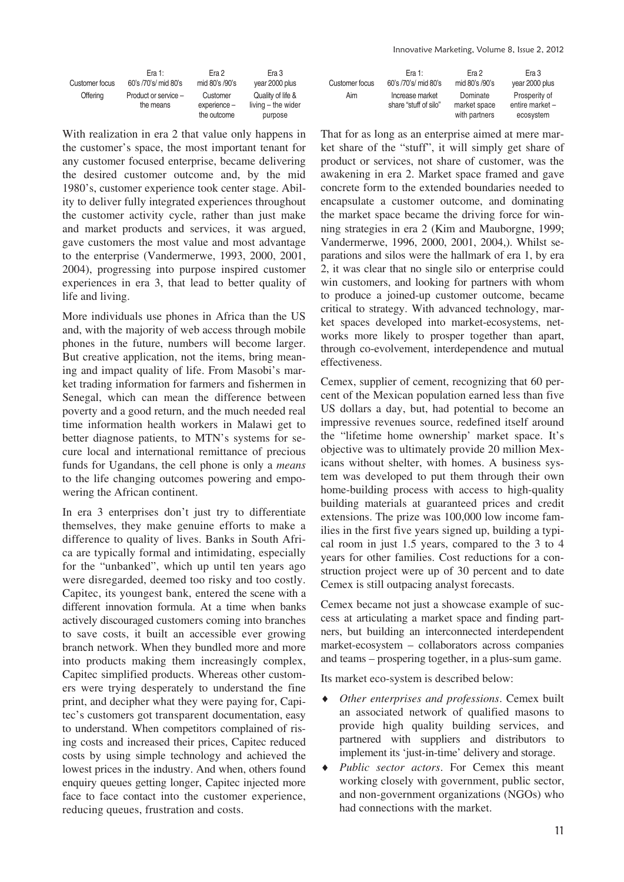Innovative Marketing, Volume 8, Issue 2, 2012

|                | Era 1:                            | Era 2                    | Era 3                                   |
|----------------|-----------------------------------|--------------------------|-----------------------------------------|
| Customer focus | 60's /70's/ mid 80's              | mid 80's /90's           | year 2000 plus                          |
| Offering       | Product or service -<br>the means | Customer<br>experience - | Quality of life &<br>living - the wider |
|                |                                   | the outcome              | purpose                                 |

With realization in era 2 that value only happens in the customer's space, the most important tenant for any customer focused enterprise, became delivering the desired customer outcome and, by the mid 1980's, customer experience took center stage. Ability to deliver fully integrated experiences throughout the customer activity cycle, rather than just make and market products and services, it was argued, gave customers the most value and most advantage to the enterprise (Vandermerwe, 1993, 2000, 2001, 2004), progressing into purpose inspired customer experiences in era 3, that lead to better quality of life and living.

More individuals use phones in Africa than the US and, with the majority of web access through mobile phones in the future, numbers will become larger. But creative application, not the items, bring meaning and impact quality of life. From Masobi's market trading information for farmers and fishermen in Senegal, which can mean the difference between poverty and a good return, and the much needed real time information health workers in Malawi get to better diagnose patients, to MTN's systems for secure local and international remittance of precious funds for Ugandans, the cell phone is only a *means* to the life changing outcomes powering and empowering the African continent.

In era 3 enterprises don't just try to differentiate themselves, they make genuine efforts to make a difference to quality of lives. Banks in South Africa are typically formal and intimidating, especially for the "unbanked", which up until ten years ago were disregarded, deemed too risky and too costly. Capitec, its youngest bank, entered the scene with a different innovation formula. At a time when banks actively discouraged customers coming into branches to save costs, it built an accessible ever growing branch network. When they bundled more and more into products making them increasingly complex, Capitec simplified products. Whereas other customers were trying desperately to understand the fine print, and decipher what they were paying for, Capitec's customers got transparent documentation, easy to understand. When competitors complained of rising costs and increased their prices, Capitec reduced costs by using simple technology and achieved the lowest prices in the industry. And when, others found enquiry queues getting longer, Capitec injected more face to face contact into the customer experience, reducing queues, frustration and costs.

| Customer focus | Era 1:                                   | Era 2                                     | Era 3                                         |
|----------------|------------------------------------------|-------------------------------------------|-----------------------------------------------|
|                | 60's /70's/ mid 80's                     | mid 80's /90's                            | year 2000 plus                                |
| Aim            | Increase market<br>share "stuff of silo" | Dominate<br>market space<br>with partners | Prosperity of<br>entire market -<br>ecosystem |

That for as long as an enterprise aimed at mere market share of the "stuff", it will simply get share of product or services, not share of customer, was the awakening in era 2. Market space framed and gave concrete form to the extended boundaries needed to encapsulate a customer outcome, and dominating the market space became the driving force for winning strategies in era 2 (Kim and Mauborgne, 1999 Vandermerwe, 1996, 2000, 2001, 2004,). Whilst separations and silos were the hallmark of era 1, by era 2, it was clear that no single silo or enterprise could win customers, and looking for partners with whom to produce a joined-up customer outcome, became critical to strategy. With advanced technology, market spaces developed into market-ecosystems, networks more likely to prosper together than apart, through co-evolvement, interdependence and mutual effectiveness.

Cemex, supplier of cement, recognizing that 60 percent of the Mexican population earned less than five US dollars a day, but, had potential to become an impressive revenues source, redefined itself around the "lifetime home ownership' market space. It's objective was to ultimately provide 20 million Mexicans without shelter, with homes. A business system was developed to put them through their own home-building process with access to high-quality building materials at guaranteed prices and credit extensions. The prize was 100,000 low income families in the first five years signed up, building a typical room in just 1.5 years, compared to the 3 to 4 years for other families. Cost reductions for a construction project were up of 30 percent and to date Cemex is still outpacing analyst forecasts.

Cemex became not just a showcase example of success at articulating a market space and finding partners, but building an interconnected interdependent market-ecosystem – collaborators across companies and teams – prospering together, in a plus-sum game.

Its market eco-system is described below:

- Other enterprises and professions. Cemex built an associated network of qualified masons to provide high quality building services, and partnered with suppliers and distributors to implement its 'just-in-time' delivery and storage.
- i *Public sector actors*. For Cemex this meant working closely with government, public sector, and non-government organizations (NGOs) who had connections with the market.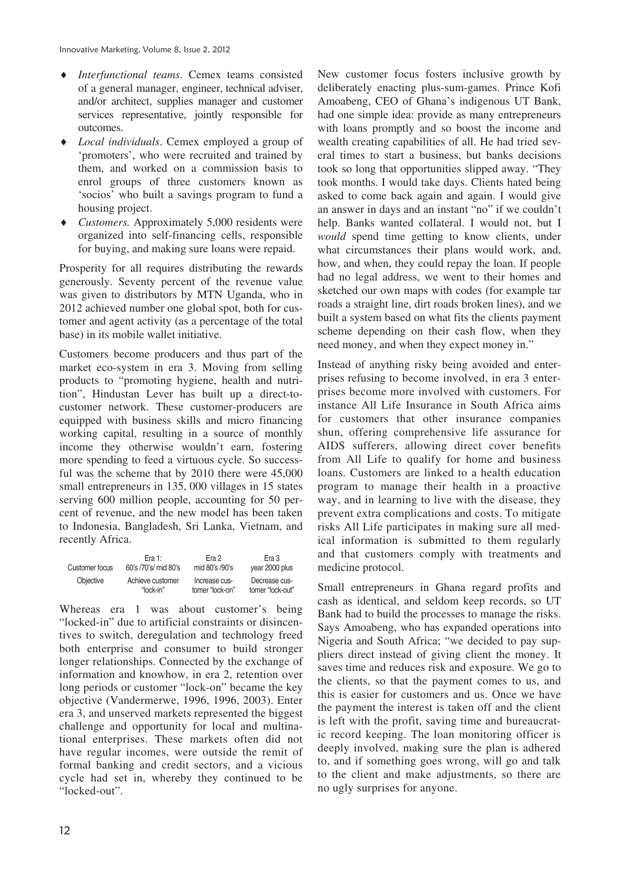- i *Interfunctional teams*. Cemex teams consisted of a general manager, engineer, technical adviser, and/or architect, supplies manager and customer services representative, jointly responsible for outcomes.
- *Local individuals*. Cemex employed a group of 'promoters', who were recruited and trained by them, and worked on a commission basis to enrol groups of three customers known as 'socios' who built a savings program to fund a housing project.
- i *Customers.* Approximately 5,000 residents were organized into self-financing cells, responsible for buying, and making sure loans were repaid.

Prosperity for all requires distributing the rewards generously. Seventy percent of the revenue value was given to distributors by MTN Uganda, who in 2012 achieved number one global spot, both for customer and agent activity (as a percentage of the total base) in its mobile wallet initiative.

Customers become producers and thus part of the market eco-system in era 3. Moving from selling products to "promoting hygiene, health and nutrition", Hindustan Lever has built up a direct-tocustomer network. These customer-producers are equipped with business skills and micro financing working capital, resulting in a source of monthly income they otherwise wouldn't earn, fostering more spending to feed a virtuous cycle. So successful was the scheme that by 2010 there were 45,000 small entrepreneurs in 135, 000 villages in 15 states serving 600 million people, accounting for 50 percent of revenue, and the new model has been taken to Indonesia, Bangladesh, Sri Lanka, Vietnam, and recently Africa.

| Customer focus | Fra 1:               | Fra 2           | Era 3            |
|----------------|----------------------|-----------------|------------------|
|                | 60's /70's/ mid 80's | mid 80's /90's  | year 2000 plus   |
| Objective      | Achieve customer     | Increase cus-   | Decrease cus-    |
|                | "lock-in"            | tomer "lock-on" | tomer "lock-out" |

Whereas era 1 was about customer's being "locked-in" due to artificial constraints or disincentives to switch, deregulation and technology freed both enterprise and consumer to build stronger longer relationships. Connected by the exchange of information and knowhow, in era 2, retention over long periods or customer "lock-on" became the key objective (Vandermerwe, 1996, 1996, 2003). Enter era 3, and unserved markets represented the biggest challenge and opportunity for local and multinational enterprises. These markets often did not have regular incomes, were outside the remit of formal banking and credit sectors, and a vicious cycle had set in, whereby they continued to be "locked-out".

New customer focus fosters inclusive growth by deliberately enacting plus-sum-games. Prince Kofi Amoabeng, CEO of Ghana's indigenous UT Bank, had one simple idea: provide as many entrepreneurs with loans promptly and so boost the income and wealth creating capabilities of all. He had tried several times to start a business, but banks decisions took so long that opportunities slipped away. "They took months. I would take days. Clients hated being asked to come back again and again. I would give an answer in days and an instant "no" if we couldn't help. Banks wanted collateral. I would not, but I *would* spend time getting to know clients, under what circumstances their plans would work, and, how, and when, they could repay the loan. If people had no legal address, we went to their homes and sketched our own maps with codes (for example tar roads a straight line, dirt roads broken lines), and we built a system based on what fits the clients payment scheme depending on their cash flow, when they need money, and when they expect money in."

Instead of anything risky being avoided and enterprises refusing to become involved, in era 3 enterprises become more involved with customers. For instance All Life Insurance in South Africa aims for customers that other insurance companies shun, offering comprehensive life assurance for AIDS sufferers, allowing direct cover benefits from All Life to qualify for home and business loans. Customers are linked to a health education program to manage their health in a proactive way, and in learning to live with the disease, they prevent extra complications and costs. To mitigate risks All Life participates in making sure all medical information is submitted to them regularly and that customers comply with treatments and medicine protocol.

Small entrepreneurs in Ghana regard profits and cash as identical, and seldom keep records, so UT Bank had to build the processes to manage the risks. Says Amoabeng, who has expanded operations into Nigeria and South Africa; "we decided to pay suppliers direct instead of giving client the money. It saves time and reduces risk and exposure. We go to the clients, so that the payment comes to us, and this is easier for customers and us. Once we have the payment the interest is taken off and the client is left with the profit, saving time and bureaucratic record keeping. The loan monitoring officer is deeply involved, making sure the plan is adhered to, and if something goes wrong, will go and talk to the client and make adjustments, so there are no ugly surprises for anyone.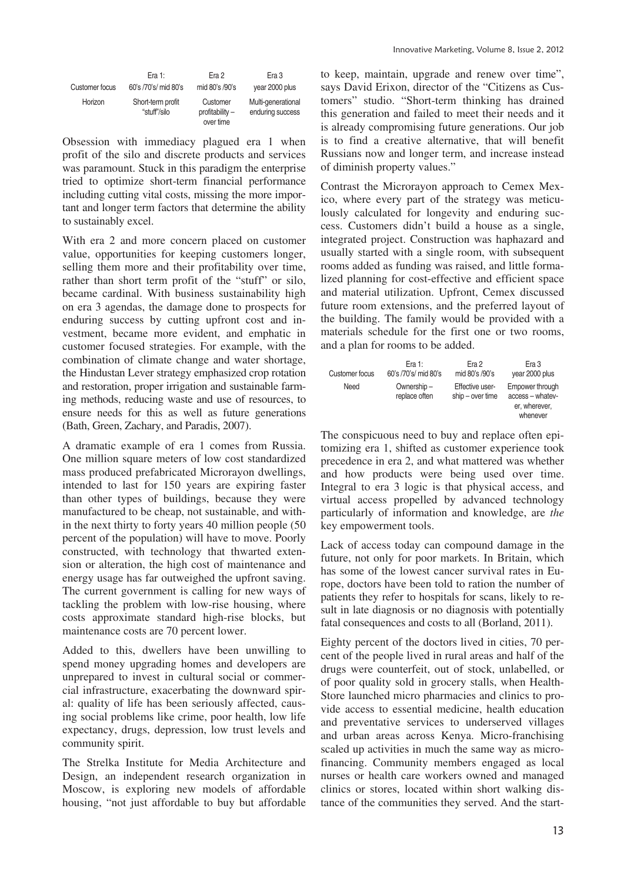|                | Era 1:                            | Era 2                                      | Era 3                                  |
|----------------|-----------------------------------|--------------------------------------------|----------------------------------------|
| Customer focus | 60's /70's/ mid 80's              | mid 80's /90's                             | year 2000 plus                         |
| Horizon        | Short-term profit<br>"stuff"/silo | Customer<br>$profitability -$<br>over time | Multi-generational<br>enduring success |

Obsession with immediacy plagued era 1 when profit of the silo and discrete products and services was paramount. Stuck in this paradigm the enterprise tried to optimize short-term financial performance including cutting vital costs, missing the more important and longer term factors that determine the ability to sustainably excel.

With era 2 and more concern placed on customer value, opportunities for keeping customers longer, selling them more and their profitability over time, rather than short term profit of the "stuff" or silo, became cardinal. With business sustainability high on era 3 agendas, the damage done to prospects for enduring success by cutting upfront cost and investment, became more evident, and emphatic in customer focused strategies. For example, with the combination of climate change and water shortage, the Hindustan Lever strategy emphasized crop rotation and restoration, proper irrigation and sustainable farming methods, reducing waste and use of resources, to ensure needs for this as well as future generations (Bath, Green, Zachary, and Paradis, 2007).

A dramatic example of era 1 comes from Russia. One million square meters of low cost standardized mass produced prefabricated Microrayon dwellings, intended to last for 150 years are expiring faster than other types of buildings, because they were manufactured to be cheap, not sustainable, and within the next thirty to forty years 40 million people (50 percent of the population) will have to move. Poorly constructed, with technology that thwarted extension or alteration, the high cost of maintenance and energy usage has far outweighed the upfront saving. The current government is calling for new ways of tackling the problem with low-rise housing, where costs approximate standard high-rise blocks, but maintenance costs are 70 percent lower.

Added to this, dwellers have been unwilling to spend money upgrading homes and developers are unprepared to invest in cultural social or commercial infrastructure, exacerbating the downward spiral: quality of life has been seriously affected, causing social problems like crime, poor health, low life expectancy, drugs, depression, low trust levels and community spirit.

The Strelka Institute for Media Architecture and Design, an independent research organization in Moscow, is exploring new models of affordable housing, "not just affordable to buy but affordable to keep, maintain, upgrade and renew over time", says David Erixon, director of the "Citizens as Customers" studio. "Short-term thinking has drained this generation and failed to meet their needs and it is already compromising future generations. Our job is to find a creative alternative, that will benefit Russians now and longer term, and increase instead of diminish property values."

Contrast the Microrayon approach to Cemex Mexico, where every part of the strategy was meticulously calculated for longevity and enduring success. Customers didn't build a house as a single, integrated project. Construction was haphazard and usually started with a single room, with subsequent rooms added as funding was raised, and little formalized planning for cost-effective and efficient space and material utilization. Upfront, Cemex discussed future room extensions, and the preferred layout of the building. The family would be provided with a materials schedule for the first one or two rooms, and a plan for rooms to be added.

| Customer focus | Era 1:                      | Era 2                               | Era 3                                                            |
|----------------|-----------------------------|-------------------------------------|------------------------------------------------------------------|
|                | 60's /70's/ mid 80's        | mid 80's /90's                      | year 2000 plus                                                   |
| Need           | Ownership-<br>replace often | Effective user-<br>$ship-over time$ | Empower through<br>access - whatev-<br>er, wherever,<br>whenever |

The conspicuous need to buy and replace often epitomizing era 1, shifted as customer experience took precedence in era 2, and what mattered was whether and how products were being used over time. Integral to era 3 logic is that physical access, and virtual access propelled by advanced technology particularly of information and knowledge, are *the*  key empowerment tools.

Lack of access today can compound damage in the future, not only for poor markets. In Britain, which has some of the lowest cancer survival rates in Europe, doctors have been told to ration the number of patients they refer to hospitals for scans, likely to result in late diagnosis or no diagnosis with potentially fatal consequences and costs to all (Borland, 2011).

Eighty percent of the doctors lived in cities, 70 percent of the people lived in rural areas and half of the drugs were counterfeit, out of stock, unlabelled, or of poor quality sold in grocery stalls, when Health-Store launched micro pharmacies and clinics to provide access to essential medicine, health education and preventative services to underserved villages and urban areas across Kenya. Micro-franchising scaled up activities in much the same way as microfinancing. Community members engaged as local nurses or health care workers owned and managed clinics or stores, located within short walking distance of the communities they served. And the start-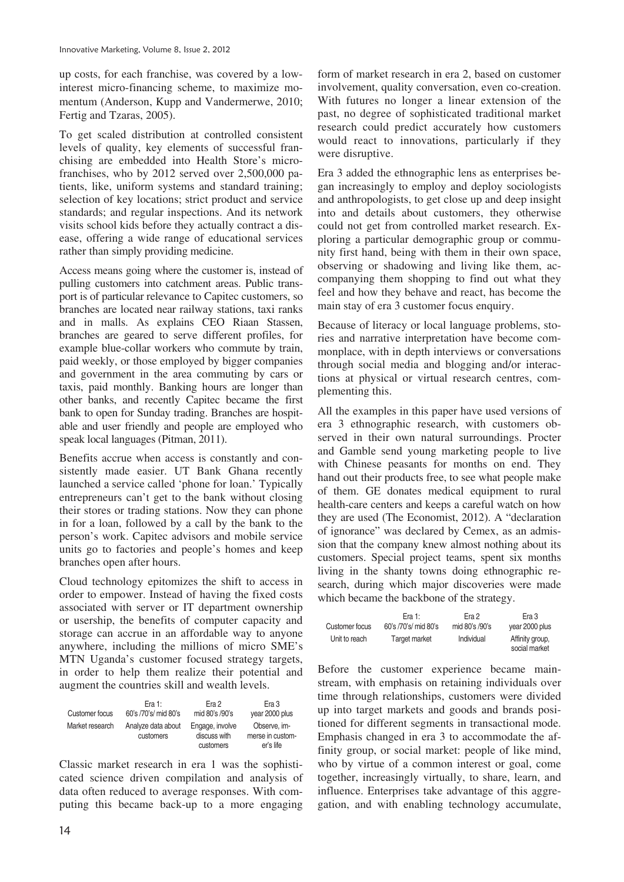up costs, for each franchise, was covered by a lowinterest micro-financing scheme, to maximize momentum (Anderson, Kupp and Vandermerwe, 2010; Fertig and Tzaras, 2005).

To get scaled distribution at controlled consistent levels of quality, key elements of successful franchising are embedded into Health Store's microfranchises, who by 2012 served over 2,500,000 patients, like, uniform systems and standard training; selection of key locations; strict product and service standards; and regular inspections. And its network visits school kids before they actually contract a disease, offering a wide range of educational services rather than simply providing medicine.

Access means going where the customer is, instead of pulling customers into catchment areas. Public transport is of particular relevance to Capitec customers, so branches are located near railway stations, taxi ranks and in malls. As explains CEO Riaan Stassen, branches are geared to serve different profiles, for example blue-collar workers who commute by train, paid weekly, or those employed by bigger companies and government in the area commuting by cars or taxis, paid monthly. Banking hours are longer than other banks, and recently Capitec became the first bank to open for Sunday trading. Branches are hospitable and user friendly and people are employed who speak local languages (Pitman, 2011).

Benefits accrue when access is constantly and consistently made easier. UT Bank Ghana recently launched a service called 'phone for loan.' Typically entrepreneurs can't get to the bank without closing their stores or trading stations. Now they can phone in for a loan, followed by a call by the bank to the person's work. Capitec advisors and mobile service units go to factories and people's homes and keep branches open after hours.

Cloud technology epitomizes the shift to access in order to empower. Instead of having the fixed costs associated with server or IT department ownership or usership, the benefits of computer capacity and storage can accrue in an affordable way to anyone anywhere, including the millions of micro SME's MTN Uganda's customer focused strategy targets, in order to help them realize their potential and augment the countries skill and wealth levels.

| Customer focus  | Era 1:                          | Era 2                                        | Era 3                                         |
|-----------------|---------------------------------|----------------------------------------------|-----------------------------------------------|
|                 | 60's /70's/ mid 80's            | mid 80's /90's                               | year 2000 plus                                |
| Market research | Analyze data about<br>customers | Engage, involve<br>discuss with<br>customers | Observe. im-<br>merse in custom-<br>er's life |

Classic market research in era 1 was the sophisticated science driven compilation and analysis of data often reduced to average responses. With computing this became back-up to a more engaging

form of market research in era 2, based on customer involvement, quality conversation, even co-creation. With futures no longer a linear extension of the past, no degree of sophisticated traditional market research could predict accurately how customers would react to innovations, particularly if they were disruptive.

Era 3 added the ethnographic lens as enterprises began increasingly to employ and deploy sociologists and anthropologists, to get close up and deep insight into and details about customers, they otherwise could not get from controlled market research. Exploring a particular demographic group or community first hand, being with them in their own space, observing or shadowing and living like them, accompanying them shopping to find out what they feel and how they behave and react, has become the main stay of era 3 customer focus enquiry.

Because of literacy or local language problems, stories and narrative interpretation have become commonplace, with in depth interviews or conversations through social media and blogging and/or interactions at physical or virtual research centres, complementing this.

All the examples in this paper have used versions of era 3 ethnographic research, with customers observed in their own natural surroundings. Procter and Gamble send young marketing people to live with Chinese peasants for months on end. They hand out their products free, to see what people make of them. GE donates medical equipment to rural health-care centers and keeps a careful watch on how they are used (The Economist, 2012). A "declaration of ignorance" was declared by Cemex, as an admission that the company knew almost nothing about its customers. Special project teams, spent six months living in the shanty towns doing ethnographic research, during which major discoveries were made which became the backbone of the strategy.

|                | Era 1:               | Era 2          | Era 3                            |
|----------------|----------------------|----------------|----------------------------------|
| Customer focus | 60's /70's/ mid 80's | mid 80's /90's | year 2000 plus                   |
| Unit to reach  | Target market        | Individual     | Affinity group,<br>social market |

Before the customer experience became mainstream, with emphasis on retaining individuals over time through relationships, customers were divided up into target markets and goods and brands positioned for different segments in transactional mode. Emphasis changed in era 3 to accommodate the affinity group, or social market: people of like mind, who by virtue of a common interest or goal, come together, increasingly virtually, to share, learn, and influence. Enterprises take advantage of this aggregation, and with enabling technology accumulate,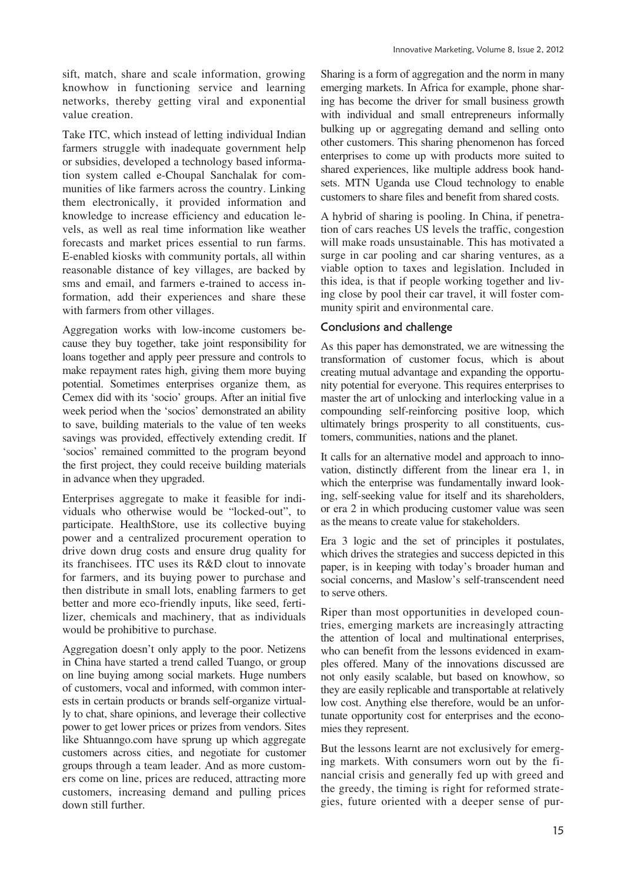Take ITC, which instead of letting individual Indian farmers struggle with inadequate government help or subsidies, developed a technology based information system called e-Choupal Sanchalak for communities of like farmers across the country. Linking them electronically, it provided information and knowledge to increase efficiency and education levels, as well as real time information like weather forecasts and market prices essential to run farms. E-enabled kiosks with community portals, all within reasonable distance of key villages, are backed by sms and email, and farmers e-trained to access information, add their experiences and share these with farmers from other villages.

Aggregation works with low-income customers because they buy together, take joint responsibility for loans together and apply peer pressure and controls to make repayment rates high, giving them more buying potential. Sometimes enterprises organize them, as Cemex did with its 'socio' groups. After an initial five week period when the 'socios' demonstrated an ability to save, building materials to the value of ten weeks savings was provided, effectively extending credit. If 'socios' remained committed to the program beyond the first project, they could receive building materials in advance when they upgraded.

Enterprises aggregate to make it feasible for individuals who otherwise would be "locked-out", to participate. HealthStore, use its collective buying power and a centralized procurement operation to drive down drug costs and ensure drug quality for its franchisees. ITC uses its R&D clout to innovate for farmers, and its buying power to purchase and then distribute in small lots, enabling farmers to get better and more eco-friendly inputs, like seed, fertilizer, chemicals and machinery, that as individuals would be prohibitive to purchase.

Aggregation doesn't only apply to the poor. Netizens in China have started a trend called Tuango, or group on line buying among social markets. Huge numbers of customers, vocal and informed, with common interests in certain products or brands self-organize virtually to chat, share opinions, and leverage their collective power to get lower prices or prizes from vendors. Sites like Shtuanngo.com have sprung up which aggregate customers across cities, and negotiate for customer groups through a team leader. And as more customers come on line, prices are reduced, attracting more customers, increasing demand and pulling prices down still further.

Sharing is a form of aggregation and the norm in many emerging markets. In Africa for example, phone sharing has become the driver for small business growth with individual and small entrepreneurs informally bulking up or aggregating demand and selling onto other customers. This sharing phenomenon has forced enterprises to come up with products more suited to shared experiences, like multiple address book handsets. MTN Uganda use Cloud technology to enable customers to share files and benefit from shared costs.

A hybrid of sharing is pooling. In China, if penetration of cars reaches US levels the traffic, congestion will make roads unsustainable. This has motivated a surge in car pooling and car sharing ventures, as a viable option to taxes and legislation. Included in this idea, is that if people working together and living close by pool their car travel, it will foster community spirit and environmental care.

#### Conclusions and challenge

As this paper has demonstrated, we are witnessing the transformation of customer focus, which is about creating mutual advantage and expanding the opportunity potential for everyone. This requires enterprises to master the art of unlocking and interlocking value in a compounding self-reinforcing positive loop, which ultimately brings prosperity to all constituents, customers, communities, nations and the planet.

It calls for an alternative model and approach to innovation, distinctly different from the linear era 1, in which the enterprise was fundamentally inward looking, self-seeking value for itself and its shareholders, or era 2 in which producing customer value was seen as the means to create value for stakeholders.

Era 3 logic and the set of principles it postulates, which drives the strategies and success depicted in this paper, is in keeping with today's broader human and social concerns, and Maslow's self-transcendent need to serve others.

Riper than most opportunities in developed countries, emerging markets are increasingly attracting the attention of local and multinational enterprises, who can benefit from the lessons evidenced in examples offered. Many of the innovations discussed are not only easily scalable, but based on knowhow, so they are easily replicable and transportable at relatively low cost. Anything else therefore, would be an unfortunate opportunity cost for enterprises and the economies they represent.

But the lessons learnt are not exclusively for emerging markets. With consumers worn out by the financial crisis and generally fed up with greed and the greedy, the timing is right for reformed strategies, future oriented with a deeper sense of pur